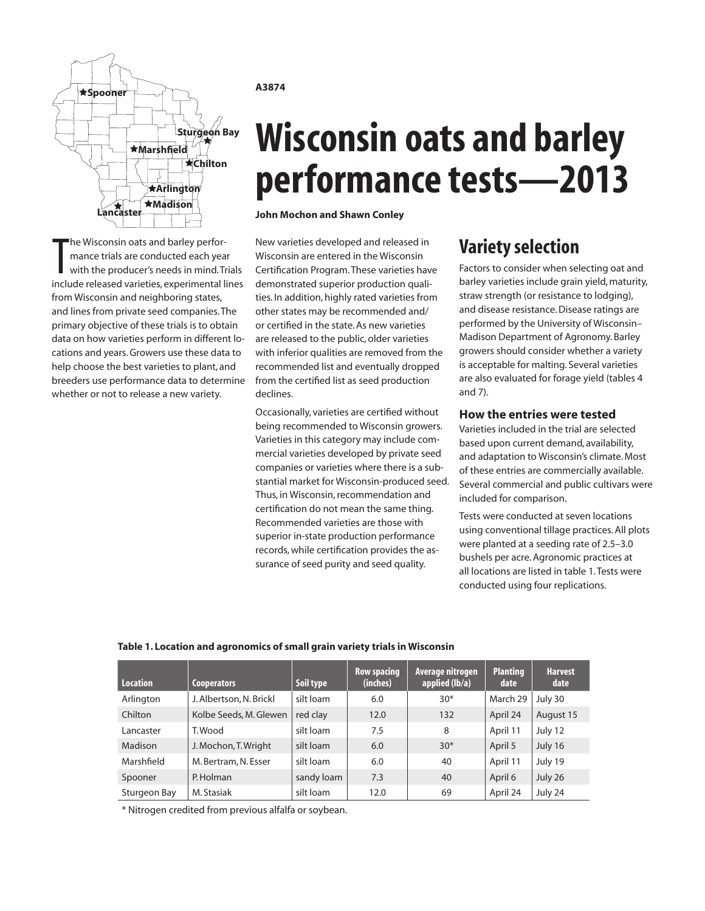

The Wisconsin oats and barley perfor-<br>mance trials are conducted each year<br>with the producer's needs in mind. Trials<br>include released varieties, experimental lines he Wisconsin oats and barley performance trials are conducted each year with the producer's needs in mind. Trials from Wisconsin and neighboring states, and lines from private seed companies. The primary objective of these trials is to obtain data on how varieties perform in different locations and years. Growers use these data to help choose the best varieties to plant, and breeders use performance data to determine whether or not to release a new variety.

### **A3874**

# **Wisconsin oats and barley performance tests—2013**

**John Mochon and Shawn Conley**

New varieties developed and released in Wisconsin are entered in the Wisconsin Certification Program. These varieties have demonstrated superior production qualities. In addition, highly rated varieties from other states may be recommended and/ or certified in the state. As new varieties are released to the public, older varieties with inferior qualities are removed from the recommended list and eventually dropped from the certified list as seed production declines.

Occasionally, varieties are certified without being recommended to Wisconsin growers. Varieties in this category may include commercial varieties developed by private seed companies or varieties where there is a substantial market for Wisconsin-produced seed. Thus, in Wisconsin, recommendation and certification do not mean the same thing. Recommended varieties are those with superior in-state production performance records, while certification provides the assurance of seed purity and seed quality.

# **Variety selection**

Factors to consider when selecting oat and barley varieties include grain yield, maturity, straw strength (or resistance to lodging), and disease resistance. Disease ratings are performed by the University of Wisconsin– Madison Department of Agronomy. Barley growers should consider whether a variety is acceptable for malting. Several varieties are also evaluated for forage yield (tables 4 and 7).

# **How the entries were tested**

Varieties included in the trial are selected based upon current demand, availability, and adaptation to Wisconsin's climate. Most of these entries are commercially available. Several commercial and public cultivars were included for comparison.

Tests were conducted at seven locations using conventional tillage practices. All plots were planted at a seeding rate of 2.5–3.0 bushels per acre. Agronomic practices at all locations are listed in table 1. Tests were conducted using four replications.

# **Table 1. Location and agronomics of small grain variety trials in Wisconsin**

| Location     | <b>Cooperators</b>      | Soil type  | <b>Row spacing</b><br>(inches) | Average nitrogen<br>applied (lb/a) | <b>Planting</b><br>date | <b>Harvest</b><br>date |
|--------------|-------------------------|------------|--------------------------------|------------------------------------|-------------------------|------------------------|
| Arlington    | J. Albertson, N. Brickl | silt loam  | 6.0                            | $30*$                              | March 29                | July 30                |
| Chilton      | Kolbe Seeds, M. Glewen  | red clay   | 12.0                           | 132                                | April 24                | August 15              |
| Lancaster    | T. Wood                 | silt loam  | 7.5                            | 8                                  | April 11                | July 12                |
| Madison      | J. Mochon, T. Wright    | silt loam  | 6.0                            | $30*$                              | April 5                 | July 16                |
| Marshfield   | M. Bertram, N. Esser    | silt loam  | 6.0                            | 40                                 | April 11                | July 19                |
| Spooner      | P. Holman               | sandy loam | 7.3                            | 40                                 | April 6                 | July 26                |
| Sturgeon Bay | M. Stasiak              | silt loam  | 12.0                           | 69                                 | April 24                | July 24                |

\* Nitrogen credited from previous alfalfa or soybean.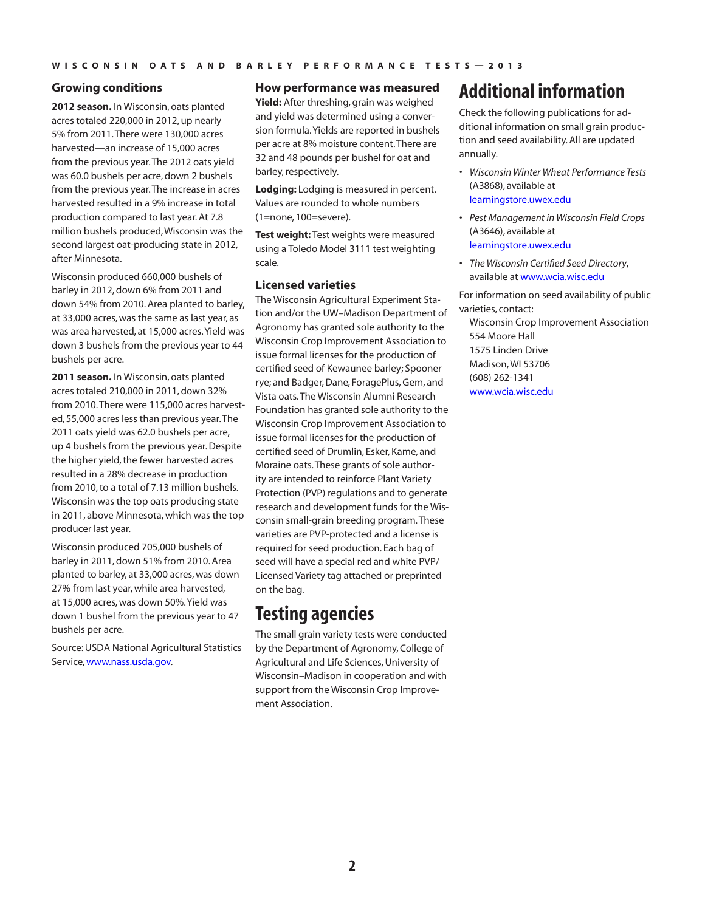# **Growing conditions**

**2012 season.** In Wisconsin, oats planted acres totaled 220,000 in 2012, up nearly 5% from 2011. There were 130,000 acres harvested—an increase of 15,000 acres from the previous year. The 2012 oats yield was 60.0 bushels per acre, down 2 bushels from the previous year. The increase in acres harvested resulted in a 9% increase in total production compared to last year. At 7.8 million bushels produced, Wisconsin was the second largest oat-producing state in 2012, after Minnesota.

Wisconsin produced 660,000 bushels of barley in 2012, down 6% from 2011 and down 54% from 2010. Area planted to barley, at 33,000 acres, was the same as last year, as was area harvested, at 15,000 acres. Yield was down 3 bushels from the previous year to 44 bushels per acre.

**2011 season.** In Wisconsin, oats planted acres totaled 210,000 in 2011, down 32% from 2010. There were 115,000 acres harvested, 55,000 acres less than previous year. The 2011 oats yield was 62.0 bushels per acre, up 4 bushels from the previous year. Despite the higher yield, the fewer harvested acres resulted in a 28% decrease in production from 2010, to a total of 7.13 million bushels. Wisconsin was the top oats producing state in 2011, above Minnesota, which was the top producer last year.

Wisconsin produced 705,000 bushels of barley in 2011, down 51% from 2010. Area planted to barley, at 33,000 acres, was down 27% from last year, while area harvested, at 15,000 acres, was down 50%. Yield was down 1 bushel from the previous year to 47 bushels per acre.

Source: USDA National Agricultural Statistics Service, [www.nass.usda.gov](http://www.nass.usda.gov).

# **How performance was measured**

**Yield:** After threshing, grain was weighed and yield was determined using a conversion formula. Yields are reported in bushels per acre at 8% moisture content. There are 32 and 48 pounds per bushel for oat and barley, respectively.

**Lodging:** Lodging is measured in percent. Values are rounded to whole numbers (1=none, 100=severe).

**Test weight:** Test weights were measured using a Toledo Model 3111 test weighting scale.

# **Licensed varieties**

The Wisconsin Agricultural Experiment Station and/or the UW–Madison Department of Agronomy has granted sole authority to the Wisconsin Crop Improvement Association to issue formal licenses for the production of certified seed of Kewaunee barley; Spooner rye; and Badger, Dane, ForagePlus, Gem, and Vista oats. The Wisconsin Alumni Research Foundation has granted sole authority to the Wisconsin Crop Improvement Association to issue formal licenses for the production of certified seed of Drumlin, Esker, Kame, and Moraine oats. These grants of sole authority are intended to reinforce Plant Variety Protection (PVP) regulations and to generate research and development funds for the Wisconsin small-grain breeding program. These varieties are PVP-protected and a license is required for seed production. Each bag of seed will have a special red and white PVP/ Licensed Variety tag attached or preprinted on the bag.

# **Testing agencies**

The small grain variety tests were conducted by the Department of Agronomy, College of Agricultural and Life Sciences, University of Wisconsin–Madison in cooperation and with support from the Wisconsin Crop Improvement Association.

# **Additional information**

Check the following publications for additional information on small grain production and seed availability. All are updated annually.

- *• Wisconsin Winter Wheat Performance Tests* (A3868), available at [learningstore.uwex.edu](http://learningstore.uwex.edu)
- *• Pest Management in Wisconsin Field Crops* (A3646), available at [learningstore.uwex.edu](http://learningstore.uwex.edu)
- *• The Wisconsin Certified Seed Directory*, available at www.wcia.wisc.edu

For information on seed availability of public varieties, contact:

Wisconsin Crop Improvement Association 554 Moore Hall 1575 Linden Drive Madison, WI 53706 (608) 262-1341 [www.wcia.wisc.edu](http://www.wcia.wisc.edu)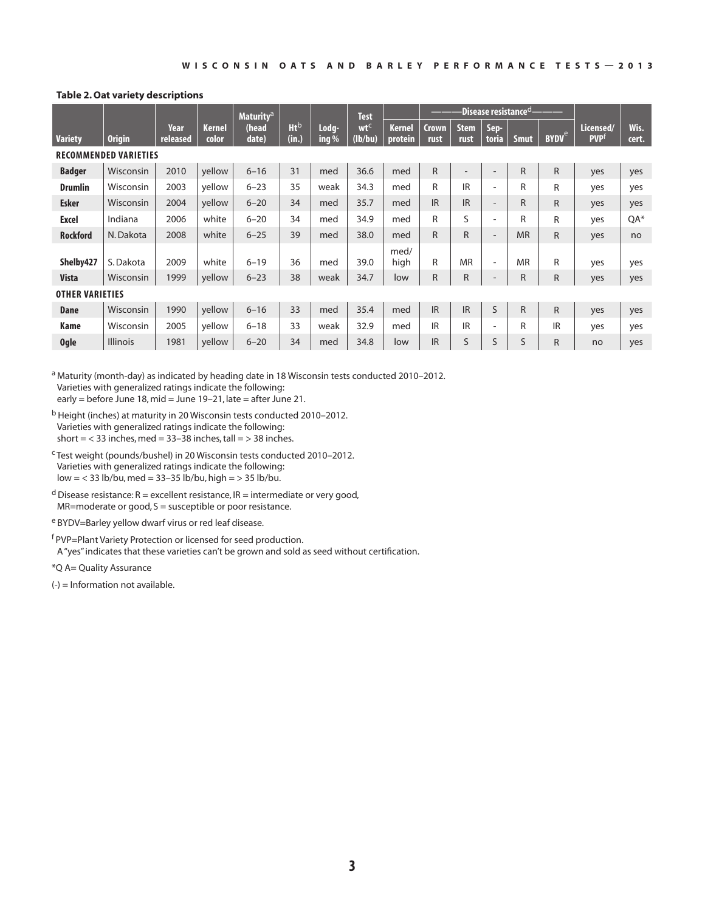### **Table 2. Oat variety descriptions**

|                              |                 |                  |                 | <b>Maturity<sup>a</sup></b> |                      |                  | <b>Test</b>                |                          | $\cdot$ Disease resistance $^{\rm cl.}$ |                     |                          |              |                         |                                      |               |
|------------------------------|-----------------|------------------|-----------------|-----------------------------|----------------------|------------------|----------------------------|--------------------------|-----------------------------------------|---------------------|--------------------------|--------------|-------------------------|--------------------------------------|---------------|
| <b>Variety</b>               | <b>Origin</b>   | Year<br>released | Kernel<br>color | (head<br>date)              | <b>Ht</b> b<br>(in.) | Lodg-<br>ing $%$ | wt <sup>c</sup><br>(lb/bu) | <b>Kernel</b><br>protein | Crown<br>rust                           | <b>Stem</b><br>rust | Sep-<br>toria            | <b>Smut</b>  | <b>BYDV<sup>e</sup></b> | Licensed/<br><b>PVP</b> <sup>f</sup> | Wis.<br>cert. |
| <b>RECOMMENDED VARIETIES</b> |                 |                  |                 |                             |                      |                  |                            |                          |                                         |                     |                          |              |                         |                                      |               |
| <b>Badger</b>                | Wisconsin       | 2010             | yellow          | $6 - 16$                    | 31                   | med              | 36.6                       | med                      | $\mathsf{R}$                            |                     | $\overline{\phantom{a}}$ | $\mathsf{R}$ | R.                      | yes                                  | yes           |
| <b>Drumlin</b>               | Wisconsin       | 2003             | yellow          | $6 - 23$                    | 35                   | weak             | 34.3                       | med                      | R                                       | <b>IR</b>           | ٠                        | R            | R                       | yes                                  | yes           |
| <b>Esker</b>                 | Wisconsin       | 2004             | yellow          | $6 - 20$                    | 34                   | med              | 35.7                       | med                      | <b>IR</b>                               | <b>IR</b>           | $\sim$                   | R            | R.                      | yes                                  | yes           |
| <b>Excel</b>                 | Indiana         | 2006             | white           | $6 - 20$                    | 34                   | med              | 34.9                       | med                      | R                                       | S                   | ۰                        | R            | R                       | yes                                  | QA*           |
| <b>Rockford</b>              | N. Dakota       | 2008             | white           | $6 - 25$                    | 39                   | med              | 38.0                       | med                      | R                                       | R                   | $\sim$                   | <b>MR</b>    | $\mathsf{R}$            | yes                                  | no            |
| Shelby427                    | S. Dakota       | 2009             | white           | $6 - 19$                    | 36                   | med              | 39.0                       | med/<br>high             | R                                       | <b>MR</b>           | $\sim$                   | <b>MR</b>    | R                       | yes                                  | yes           |
| <b>Vista</b>                 | Wisconsin       | 1999             | yellow          | $6 - 23$                    | 38                   | weak             | 34.7                       | low                      | R                                       | R                   | -                        | R            | R                       | yes                                  | yes           |
| <b>OTHER VARIETIES</b>       |                 |                  |                 |                             |                      |                  |                            |                          |                                         |                     |                          |              |                         |                                      |               |
| <b>Dane</b>                  | Wisconsin       | 1990             | yellow          | $6 - 16$                    | 33                   | med              | 35.4                       | med                      | <b>IR</b>                               | <b>IR</b>           | S                        | $\mathsf{R}$ | R.                      | yes                                  | yes           |
| <b>Kame</b>                  | Wisconsin       | 2005             | yellow          | $6 - 18$                    | 33                   | weak             | 32.9                       | med                      | <b>IR</b>                               | IR                  | $\sim$                   | R            | <b>IR</b>               | yes                                  | yes           |
| <b>Ogle</b>                  | <b>Illinois</b> | 1981             | yellow          | $6 - 20$                    | 34                   | med              | 34.8                       | low                      | <b>IR</b>                               | S                   | S                        | S            | R                       | no                                   | yes           |

a Maturity (month-day) as indicated by heading date in 18 Wisconsin tests conducted 2010-2012. Varieties with generalized ratings indicate the following: early = before June 18, mid = June 19–21, late = after June 21.

b Height (inches) at maturity in 20 Wisconsin tests conducted 2010–2012. Varieties with generalized ratings indicate the following: short =  $<$  33 inches, med = 33–38 inches, tall =  $>$  38 inches.

c Test weight (pounds/bushel) in 20 Wisconsin tests conducted 2010–2012. Varieties with generalized ratings indicate the following:  $low = < 33$  lb/bu, med =  $33 - 35$  lb/bu, high =  $> 35$  lb/bu.

 $d$  Disease resistance: R = excellent resistance, IR = intermediate or very good, MR=moderate or good, S = susceptible or poor resistance.

e BYDV=Barley yellow dwarf virus or red leaf disease.

f PVP=Plant Variety Protection or licensed for seed production. A "yes" indicates that these varieties can't be grown and sold as seed without certification.

\*Q A= Quality Assurance

(-) = Information not available.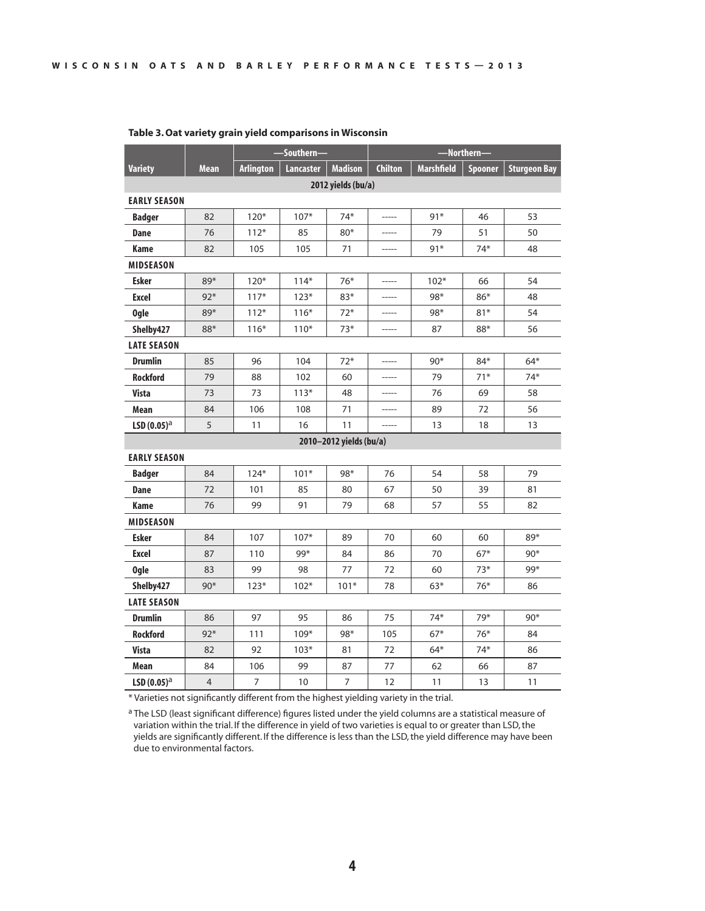|                     |       |                  | -Southern- |                         | -Northern-     |                   |         |                     |  |  |  |  |
|---------------------|-------|------------------|------------|-------------------------|----------------|-------------------|---------|---------------------|--|--|--|--|
| <b>Variety</b>      | Mean  | <b>Arlington</b> | Lancaster  | <b>Madison</b>          | <b>Chilton</b> | <b>Marshfield</b> | Spooner | <b>Sturgeon Bay</b> |  |  |  |  |
|                     |       |                  |            | 2012 yields (bu/a)      |                |                   |         |                     |  |  |  |  |
| <b>EARLY SEASON</b> |       |                  |            |                         |                |                   |         |                     |  |  |  |  |
| <b>Badger</b>       | 82    | $120*$           | $107*$     | 74*                     | $- - - - -$    | $91*$             | 46      | 53                  |  |  |  |  |
| <b>Dane</b>         | 76    | $112*$           | 85         | $80*$                   | -----          | 79                | 51      | 50                  |  |  |  |  |
| <b>Kame</b>         | 82    | 105              | 105        | 71                      | -----          | $91*$             | $74*$   | 48                  |  |  |  |  |
| <b>MIDSEASON</b>    |       |                  |            |                         |                |                   |         |                     |  |  |  |  |
| <b>Esker</b>        | 89*   | $120*$           | $114*$     | 76*                     |                | $102*$            | 66      | 54                  |  |  |  |  |
| <b>Excel</b>        | $92*$ | $117*$           | $123*$     | $83*$                   |                | 98*               | 86*     | 48                  |  |  |  |  |
| <b>Ogle</b>         | 89*   | $112*$           | $116*$     | $72*$                   |                | 98*               | $81*$   | 54                  |  |  |  |  |
| Shelby427           | 88*   | $116*$           | $110*$     | $73*$                   | -----          | 87                | 88*     | 56                  |  |  |  |  |
| <b>LATE SEASON</b>  |       |                  |            |                         |                |                   |         |                     |  |  |  |  |
| <b>Drumlin</b>      | 85    | 96               | 104        | $72*$                   |                | $90*$             | $84*$   | $64*$               |  |  |  |  |
| <b>Rockford</b>     | 79    | 88               | 102        | 60                      |                | 79                | $71*$   | $74*$               |  |  |  |  |
| <b>Vista</b>        | 73    | 73               | $113*$     | 48                      |                | 76                | 69      | 58                  |  |  |  |  |
| Mean                | 84    | 106              | 108        | 71                      | -----          | 89                | 72      | 56                  |  |  |  |  |
| $LSD(0.05)^{a}$     | 5     | 11               | 16         | 11                      | -----          | 13                | 18      | 13                  |  |  |  |  |
|                     |       |                  |            | 2010-2012 yields (bu/a) |                |                   |         |                     |  |  |  |  |
| <b>EARLY SEASON</b> |       |                  |            |                         |                |                   |         |                     |  |  |  |  |
| <b>Badger</b>       | 84    | $124*$           | $101*$     | 98*                     | 76             | 54                | 58      | 79                  |  |  |  |  |
| Dane                | 72    | 101              | 85         | 80                      | 67             | 50                | 39      | 81                  |  |  |  |  |
| <b>Kame</b>         | 76    | 99               | 91         | 79                      | 68             | 57                | 55      | 82                  |  |  |  |  |
| <b>MIDSEASON</b>    |       |                  |            |                         |                |                   |         |                     |  |  |  |  |
| <b>Esker</b>        | 84    | 107              | $107*$     | 89                      | 70             | 60                | 60      | 89*                 |  |  |  |  |
| <b>Excel</b>        | 87    | 110              | 99*        | 84                      | 86             | 70                | $67*$   | $90*$               |  |  |  |  |
| <b>Ogle</b>         | 83    | 99               | 98         | 77                      | 72             | 60                | $73*$   | 99*                 |  |  |  |  |
| Shelby427           | $90*$ | $123*$           | $102*$     | $101*$                  | 78             | $63*$             | $76*$   | 86                  |  |  |  |  |
| <b>LATE SEASON</b>  |       |                  |            |                         |                |                   |         |                     |  |  |  |  |
| <b>Drumlin</b>      | 86    | 97               | 95         | 86                      | 75             | $74*$             | 79*     | $90*$               |  |  |  |  |
| <b>Rockford</b>     | $92*$ | 111              | 109*       | 98*                     | 105            | $67*$             | $76*$   | 84                  |  |  |  |  |
| <b>Vista</b>        | 82    | 92               | $103*$     | 81                      | 72             | $64*$             | $74*$   | 86                  |  |  |  |  |
| Mean                | 84    | 106              | 99         | 87                      | 77             | 62                | 66      | 87                  |  |  |  |  |
| $LSD(0.05)^{a}$     | 4     | 7                | 10         | 7                       | 12             | 11                | 13      | 11                  |  |  |  |  |

# **Table 3. Oat variety grain yield comparisons in Wisconsin**

\* Varieties not significantly different from the highest yielding variety in the trial.

a The LSD (least significant difference) figures listed under the yield columns are a statistical measure of variation within the trial. If the difference in yield of two varieties is equal to or greater than LSD, the yields are significantly different. If the difference is less than the LSD, the yield difference may have been due to environmental factors.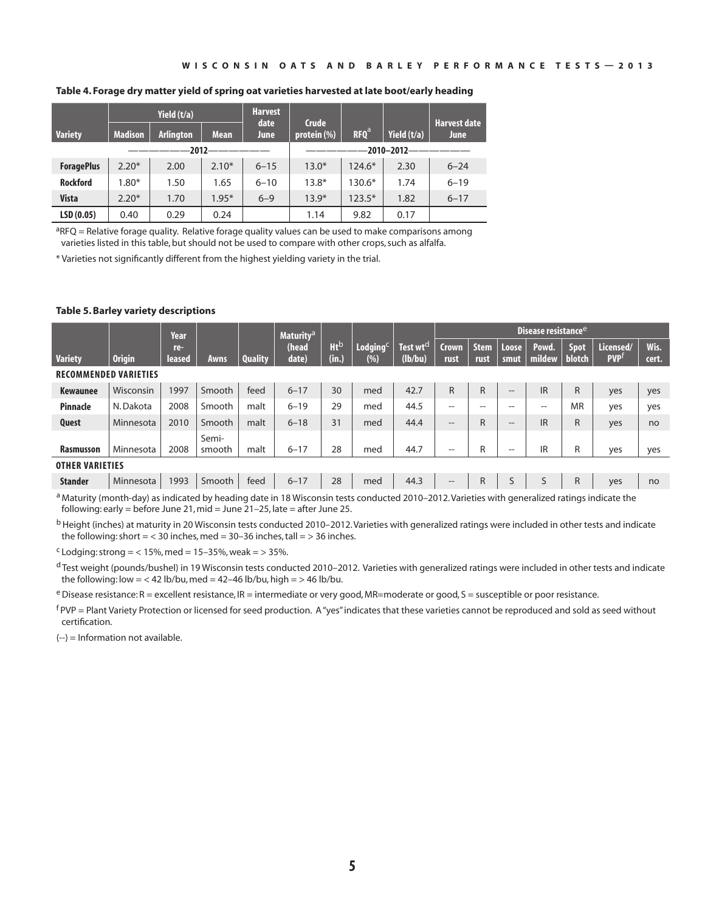#### **Table 4. Forage dry matter yield of spring oat varieties harvested at late boot/early heading**

|                   | Yield (t/a)    |                  | <b>Harvest</b><br>date | <b>Crude</b>     |             |                  | <b>Harvest date</b> |             |  |  |
|-------------------|----------------|------------------|------------------------|------------------|-------------|------------------|---------------------|-------------|--|--|
| <b>Variety</b>    | <b>Madison</b> | <b>Arlington</b> | <b>Mean</b>            | June             | protein (%) | RFO <sup>a</sup> | Yield (t/a)         | <b>June</b> |  |  |
|                   |                | $-2012-$         |                        | $-2010 - 2012 -$ |             |                  |                     |             |  |  |
| <b>ForagePlus</b> | $2.20*$        | 2.00             | $2.10*$                | $6 - 15$         | $13.0*$     | $124.6*$         | 2.30                | $6 - 24$    |  |  |
| <b>Rockford</b>   | $1.80*$        | 1.50             | 1.65                   | $6 - 10$         | $13.8*$     | 130.6*           | 1.74                | $6 - 19$    |  |  |
| <b>Vista</b>      | $2.20*$        | 1.70             | $1.95*$                | $6 - 9$          | $13.9*$     | $123.5*$         | 1.82                | $6 - 17$    |  |  |
| LSD(0.05)         | 0.40           | 0.29             | 0.24                   |                  | 1.14        | 9.82             | 0.17                |             |  |  |

 ${}^{a}$ RFQ = Relative forage quality. Relative forage quality values can be used to make comparisons among varieties listed in this table, but should not be used to compare with other crops, such as alfalfa.

\* Varieties not significantly different from the highest yielding variety in the trial.

### **Table 5. Barley variety descriptions**

|                              |                                                                                                                                          | Year          |                 |                | Maturity <sup>a</sup> |                                 |                    |                                 | $^{\rm l}$ Disease resistance $^{\rm e}$ |                     |                   |                 |                              |                         |               |  |  |
|------------------------------|------------------------------------------------------------------------------------------------------------------------------------------|---------------|-----------------|----------------|-----------------------|---------------------------------|--------------------|---------------------------------|------------------------------------------|---------------------|-------------------|-----------------|------------------------------|-------------------------|---------------|--|--|
| <b>Variety</b>               | <b>Origin</b>                                                                                                                            | re-<br>leased | Awns            | <b>Quality</b> | (head<br>date)        | <b>Ht</b> <sup>b</sup><br>(in.) | Lodging $C$<br>(%) | Test wt <sup>d</sup><br>(lb/bu) | <b>Crown</b><br>rust                     | <b>Stem</b><br>rust | Loose<br>smut     | Powd.<br>mildew | <b>Spot</b><br><b>blotch</b> | Licensed/<br><b>PVP</b> | Wis.<br>cert. |  |  |
| <b>RECOMMENDED VARIETIES</b> |                                                                                                                                          |               |                 |                |                       |                                 |                    |                                 |                                          |                     |                   |                 |                              |                         |               |  |  |
| <b>Kewaunee</b>              | Wisconsin                                                                                                                                | 1997          | Smooth          | feed           | $6 - 17$              | 30                              | med                | 42.7                            | $\mathsf{R}$                             | R                   | $\qquad \qquad -$ | <b>IR</b>       | $\mathsf{R}$                 | yes                     | yes           |  |  |
| <b>Pinnacle</b>              | N. Dakota                                                                                                                                | 2008          | Smooth          | malt           | $6 - 19$              | 29                              | med                | 44.5                            | $- -$                                    | --                  | --                | $- -$           | <b>MR</b>                    | yes                     | yes           |  |  |
| Quest                        | Minnesota                                                                                                                                | 2010          | Smooth          | malt           | $6 - 18$              | 31                              | med                | 44.4                            | $\qquad \qquad -$                        | R                   | $\qquad \qquad -$ | <b>IR</b>       | $\mathsf{R}$                 | yes                     | no            |  |  |
| <b>Rasmusson</b>             | Minnesota                                                                                                                                | 2008          | Semi-<br>smooth | malt           | $6 - 17$              | 28                              | med                | 44.7                            | $- -$                                    | R                   | --                | IR              | R                            | yes                     | yes           |  |  |
| <b>OTHER VARIETIES</b>       |                                                                                                                                          |               |                 |                |                       |                                 |                    |                                 |                                          |                     |                   |                 |                              |                         |               |  |  |
| <b>Stander</b>               | Minnesota                                                                                                                                | 1993          | Smooth          | feed           | $6 - 17$              | 28                              | med                | 44.3                            | $\qquad \qquad -$                        | R                   | S                 | S               | R                            | yes                     | no            |  |  |
|                              | a Material and a straighter and her heading data in 10 Microsoft to the condensed 2010, 2012 Material and condensed with an indicate the |               |                 |                |                       |                                 |                    |                                 |                                          |                     |                   |                 |                              |                         |               |  |  |

Maturity (month-day) as indicated by heading date in 18 Wisconsin tests conducted 2010-2012. Varieties with generalized ratings indicate the following: early = before June 21, mid = June 21–25, late = after June 25.

<sup>b</sup> Height (inches) at maturity in 20 Wisconsin tests conducted 2010–2012. Varieties with generalized ratings were included in other tests and indicate the following: short  $=$  < 30 inches, med = 30-36 inches, tall = > 36 inches.

 $c$  Lodging: strong = < 15%, med = 15-35%, weak = > 35%.

d Test weight (pounds/bushel) in 19 Wisconsin tests conducted 2010-2012. Varieties with generalized ratings were included in other tests and indicate the following: low = < 42 lb/bu, med = 42-46 lb/bu, high = > 46 lb/bu.

 $e$  Disease resistance: R = excellent resistance, IR = intermediate or very good, MR=moderate or good, S = susceptible or poor resistance.

 $f$ PVP = Plant Variety Protection or licensed for seed production. A "yes" indicates that these varieties cannot be reproduced and sold as seed without certification.

(--) = Information not available.